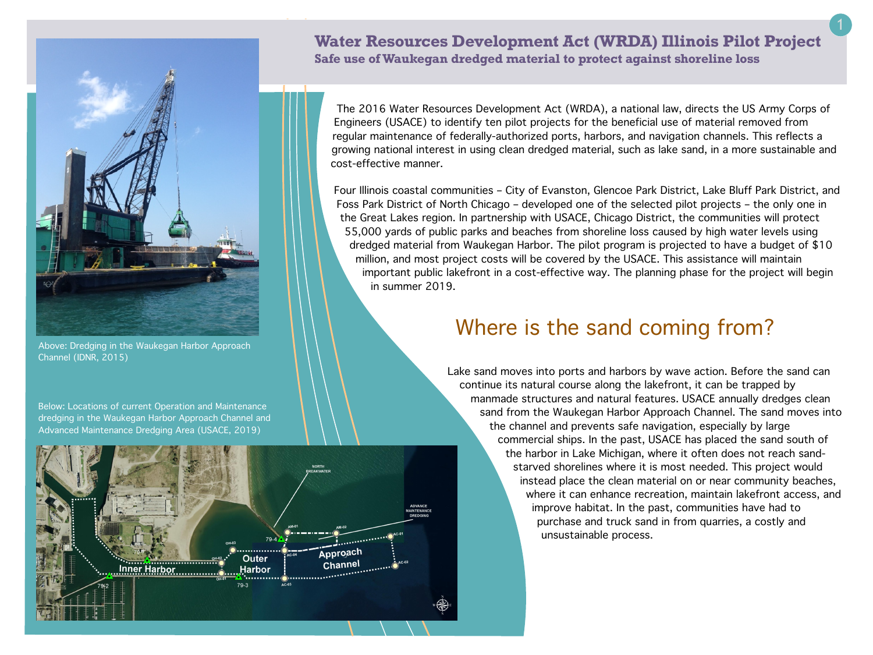

Above: Dredging in the Waukegan Harbor Approach Channel (IDNR, 2015)

Below: Locations of current Operation and Maintenance dredging in the Waukegan Harbor Approach Channel and Advanced Maintenance Dredging Area (USACE, 2019)

ner Harbor

Approach

Channel

**Outer** 

**Harbor** 

## **Water Resources Development Act (WRDA) Illinois Pilot Project Safe use of Waukegan dredged material to protect against shoreline loss**

The 2016 Water Resources Development Act (WRDA), a national law, directs the US Army Corps of Engineers (USACE) to identify ten pilot projects for the beneficial use of material removed from regular maintenance of federally-authorized ports, harbors, and navigation channels. This reflects a growing national interest in using clean dredged material, such as lake sand, in a more sustainable and cost-effective manner.

Four Illinois coastal communities – City of Evanston, Glencoe Park District, Lake Bluff Park District, and Foss Park District of North Chicago – developed one of the selected pilot projects – the only one in the Great Lakes region. In partnership with USACE, Chicago District, the communities will protect 55,000 yards of public parks and beaches from shoreline loss caused by high water levels using dredged material from Waukegan Harbor. The pilot program is projected to have a budget of \$10 million, and most project costs will be covered by the USACE. This assistance will maintain important public lakefront in a cost-effective way. The planning phase for the project will begin in summer 2019.

## Where is the sand coming from?

Lake sand moves into ports and harbors by wave action. Before the sand can continue its natural course along the lakefront, it can be trapped by manmade structures and natural features. USACE annually dredges clean sand from the Waukegan Harbor Approach Channel. The sand moves into the channel and prevents safe navigation, especially by large commercial ships. In the past, USACE has placed the sand south of the harbor in Lake Michigan, where it often does not reach sandstarved shorelines where it is most needed. This project would instead place the clean material on or near community beaches, where it can enhance recreation, maintain lakefront access, and improve habitat. In the past, communities have had to purchase and truck sand in from quarries, a costly and unsustainable process.